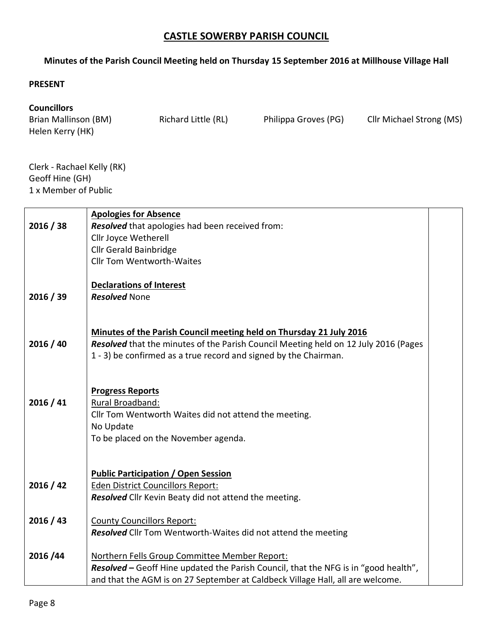## **CASTLE SOWERBY PARISH COUNCIL**

## **Minutes of the Parish Council Meeting held on Thursday 15 September 2016 at Millhouse Village Hall**

## **PRESENT**

## **Councillors**

Brian Mallinson (BM) Richard Little (RL) Philippa Groves (PG) Cllr Michael Strong (MS) Helen Kerry (HK)

Clerk - Rachael Kelly (RK) Geoff Hine (GH) 1 x Member of Public

|           | <b>Apologies for Absence</b>                                                        |  |
|-----------|-------------------------------------------------------------------------------------|--|
| 2016 / 38 | Resolved that apologies had been received from:                                     |  |
|           | Cllr Joyce Wetherell                                                                |  |
|           | <b>Cllr Gerald Bainbridge</b>                                                       |  |
|           | <b>Cllr Tom Wentworth-Waites</b>                                                    |  |
|           |                                                                                     |  |
|           | <b>Declarations of Interest</b>                                                     |  |
| 2016 / 39 | <b>Resolved None</b>                                                                |  |
|           |                                                                                     |  |
|           |                                                                                     |  |
|           | Minutes of the Parish Council meeting held on Thursday 21 July 2016                 |  |
| 2016 / 40 | Resolved that the minutes of the Parish Council Meeting held on 12 July 2016 (Pages |  |
|           | 1 - 3) be confirmed as a true record and signed by the Chairman.                    |  |
|           |                                                                                     |  |
|           | <b>Progress Reports</b>                                                             |  |
| 2016 / 41 | Rural Broadband:                                                                    |  |
|           | Cllr Tom Wentworth Waites did not attend the meeting.                               |  |
|           | No Update                                                                           |  |
|           | To be placed on the November agenda.                                                |  |
|           |                                                                                     |  |
|           |                                                                                     |  |
|           | <b>Public Participation / Open Session</b>                                          |  |
| 2016 / 42 | <b>Eden District Councillors Report:</b>                                            |  |
|           | <b>Resolved</b> Cllr Kevin Beaty did not attend the meeting.                        |  |
| 2016 / 43 | <b>County Councillors Report:</b>                                                   |  |
|           | <b>Resolved</b> Cllr Tom Wentworth-Waites did not attend the meeting                |  |
|           |                                                                                     |  |
| 2016/44   | Northern Fells Group Committee Member Report:                                       |  |
|           | Resolved - Geoff Hine updated the Parish Council, that the NFG is in "good health", |  |
|           | and that the AGM is on 27 September at Caldbeck Village Hall, all are welcome.      |  |
|           |                                                                                     |  |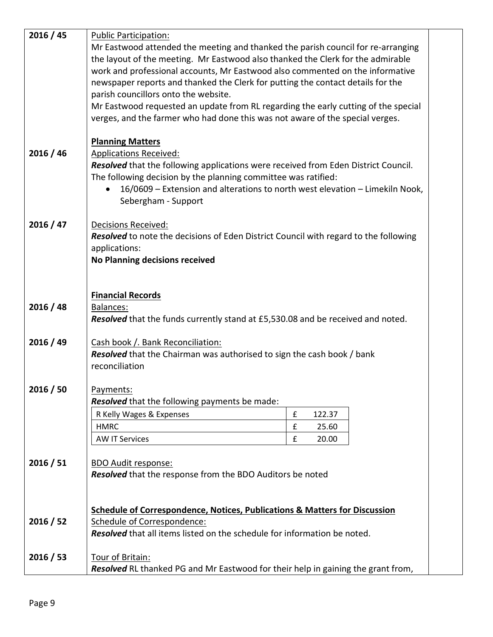| 2016 / 45 | <b>Public Participation:</b>                                                              |                             |  |  |  |
|-----------|-------------------------------------------------------------------------------------------|-----------------------------|--|--|--|
|           | Mr Eastwood attended the meeting and thanked the parish council for re-arranging          |                             |  |  |  |
|           | the layout of the meeting. Mr Eastwood also thanked the Clerk for the admirable           |                             |  |  |  |
|           | work and professional accounts, Mr Eastwood also commented on the informative             |                             |  |  |  |
|           | newspaper reports and thanked the Clerk for putting the contact details for the           |                             |  |  |  |
|           | parish councillors onto the website.                                                      |                             |  |  |  |
|           | Mr Eastwood requested an update from RL regarding the early cutting of the special        |                             |  |  |  |
|           | verges, and the farmer who had done this was not aware of the special verges.             |                             |  |  |  |
|           |                                                                                           |                             |  |  |  |
|           | <b>Planning Matters</b>                                                                   |                             |  |  |  |
| 2016 / 46 | <b>Applications Received:</b>                                                             |                             |  |  |  |
|           | Resolved that the following applications were received from Eden District Council.        |                             |  |  |  |
|           | The following decision by the planning committee was ratified:                            |                             |  |  |  |
|           | 16/0609 - Extension and alterations to north west elevation - Limekiln Nook,<br>$\bullet$ |                             |  |  |  |
|           | Sebergham - Support                                                                       |                             |  |  |  |
|           |                                                                                           |                             |  |  |  |
| 2016 / 47 | <b>Decisions Received:</b>                                                                |                             |  |  |  |
|           | Resolved to note the decisions of Eden District Council with regard to the following      |                             |  |  |  |
|           | applications:                                                                             |                             |  |  |  |
|           | No Planning decisions received                                                            |                             |  |  |  |
|           |                                                                                           |                             |  |  |  |
|           |                                                                                           |                             |  |  |  |
|           | <b>Financial Records</b>                                                                  |                             |  |  |  |
| 2016 / 48 | <b>Balances:</b>                                                                          |                             |  |  |  |
|           | Resolved that the funds currently stand at £5,530.08 and be received and noted.           |                             |  |  |  |
|           |                                                                                           |                             |  |  |  |
| 2016 / 49 | Cash book /. Bank Reconciliation:                                                         |                             |  |  |  |
|           | <b>Resolved</b> that the Chairman was authorised to sign the cash book / bank             |                             |  |  |  |
|           | reconciliation                                                                            |                             |  |  |  |
| 2016 / 50 | Payments:                                                                                 |                             |  |  |  |
|           | Resolved that the following payments be made:                                             |                             |  |  |  |
|           | R Kelly Wages & Expenses                                                                  | $\mathbf f$<br>122.37       |  |  |  |
|           | <b>HMRC</b>                                                                               | $\pmb{\mathsf{f}}$<br>25.60 |  |  |  |
|           | <b>AW IT Services</b>                                                                     | $\pmb{\mathsf{f}}$<br>20.00 |  |  |  |
|           |                                                                                           |                             |  |  |  |
| 2016 / 51 | <b>BDO Audit response:</b>                                                                |                             |  |  |  |
|           | Resolved that the response from the BDO Auditors be noted                                 |                             |  |  |  |
|           |                                                                                           |                             |  |  |  |
|           |                                                                                           |                             |  |  |  |
|           | Schedule of Correspondence, Notices, Publications & Matters for Discussion                |                             |  |  |  |
| 2016 / 52 | Schedule of Correspondence:                                                               |                             |  |  |  |
|           | Resolved that all items listed on the schedule for information be noted.                  |                             |  |  |  |
|           |                                                                                           |                             |  |  |  |
| 2016 / 53 | Tour of Britain:                                                                          |                             |  |  |  |
|           | Resolved RL thanked PG and Mr Eastwood for their help in gaining the grant from,          |                             |  |  |  |